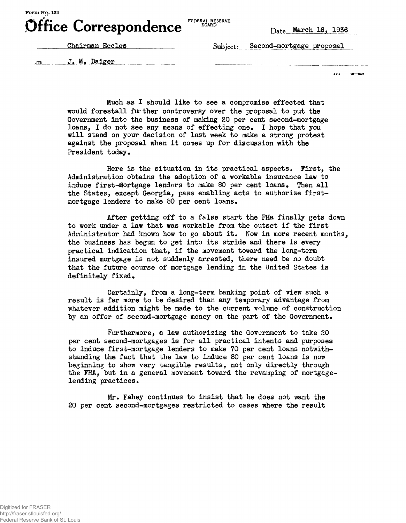

FEDERAL RESERVE BOARD

Chairman Eccles

Subject: Second-mortgage proposal

 $\mathbf{J}_{\bullet}$   $\mathbf{M}_{\bullet}$  Daiger

**• re 16—852**

Much as I should like to see a compromise effected that would forestall further controversy over the proposal to put the Government into the business of making 20 per cent second-mortgage loans, I do not see any means of effecting one. I hope that you will stand on your decision of last week to make a strong protest against the proposal when it comes up for discussion with the President today.

Here is the situation in its practical aspects. First, the Administration obtains the adoption of a workable insurance law to induce first-flortgage lenders to make 80 per cent loans. Then all the States, except Georgia, pass enabling acts to authorize firstmortgage lenders to make 80 per cent loans.

After getting off to a false start the FHa finally gets down to work under a law that was workable from the outset if the first Administrator had known how to go about it. Now in more recent months, the business has begun to get into its stride and there is every practical indication that, if the movement toward the long-term insured mortgage is not suddenly arrested, there need be no doubt that the future course of mortgage lending in the United States is definitely fixed.

Certainly, from a long-term banking point of view such a result is far more to be desired than any temporary advantage from whatever addition might be made to the current volume of construction by an offer of second-mortgage money on the part of the Government.

Furthermore, a law authorizing the Government to take 20 per cent second-mortgages is for all practical intents and purposes to induce first-mortgage lenders to make 70 per cent loans notwithstanding the fact that the law to induce 80 per cent loans is now beginning to show very tangible results, not only directly through the FHA, but in a general movement toward the revamping of mortgagelending practices.

Mr. Fahey continues to insist that he does not want the 20 per cent second-mortgages restricted to cases where the result